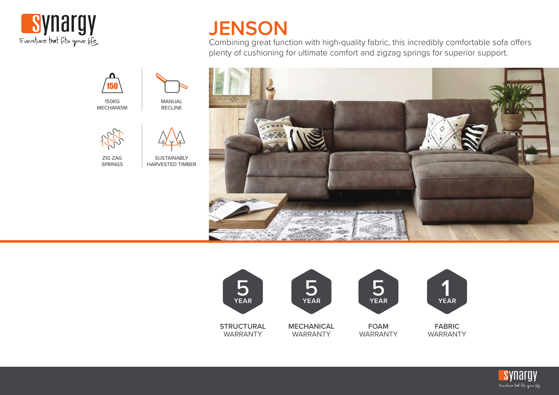



Combining great function with high-quality fabric, this incredibly comfortable sofa offers plenty of cushioning for ultimate comfort and zigzag springs for superior support.







150

150KG MECHANISM

ZIG ZAG SPRINGS

**SUSTAINABLY** HARVESTED TIMBER

MANUAL RECLINE